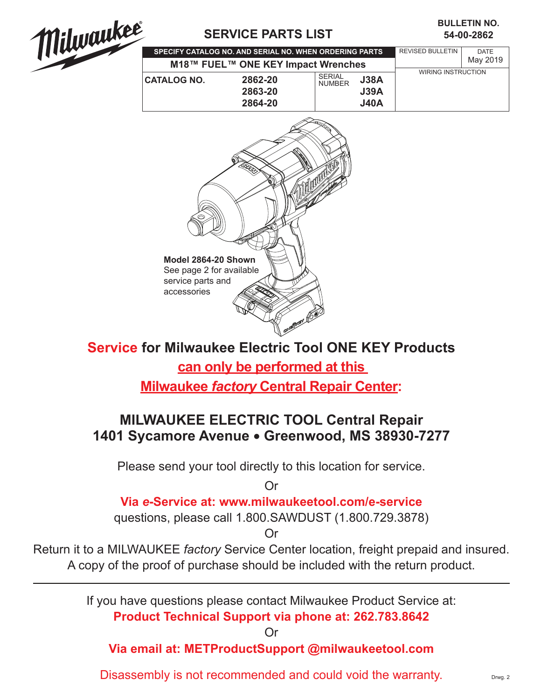

## **SERVICE PARTS LIST**

## **54-00-2862 BULLETIN NO.**

| SPECIFY CATALOG NO. AND SERIAL NO. WHEN ORDERING PARTS |                    |                                |                     | <b>REVISED BULLETIN</b> | <b>DATE</b> |
|--------------------------------------------------------|--------------------|--------------------------------|---------------------|-------------------------|-------------|
| M18™ FUEL™ ONE KEY Impact Wrenches                     |                    |                                |                     |                         | May 2019    |
| <b>CATALOG NO.</b>                                     | 2862-20<br>2863-20 | <b>SERIAL</b><br><b>NUMBER</b> | <b>J38A</b><br>J39A | WIRING INSTRUCTION      |             |
|                                                        | 2864-20            |                                | <b>J40A</b>         |                         |             |



**Service for Milwaukee Electric Tool ONE KEY Products can only be performed at this Milwaukee** *factory* **Central Repair Center:**

## **MILWAUKEE ELECTRIC TOOL Central Repair 1401 Sycamore Avenue** l **Greenwood, MS 38930-7277**

Please send your tool directly to this location for service.

Or

## **Via** *e***-Service at: www.milwaukeetool.com/e-service**

questions, please call 1.800.SAWDUST (1.800.729.3878)

Or

Return it to a MILWAUKEE *factory* Service Center location, freight prepaid and insured. A copy of the proof of purchase should be included with the return product.

> If you have questions please contact Milwaukee Product Service at: **Product Technical Support via phone at: 262.783.8642**

> > Or

**Via email at: METProductSupport @milwaukeetool.com**

Disassembly is not recommended and could void the warranty.